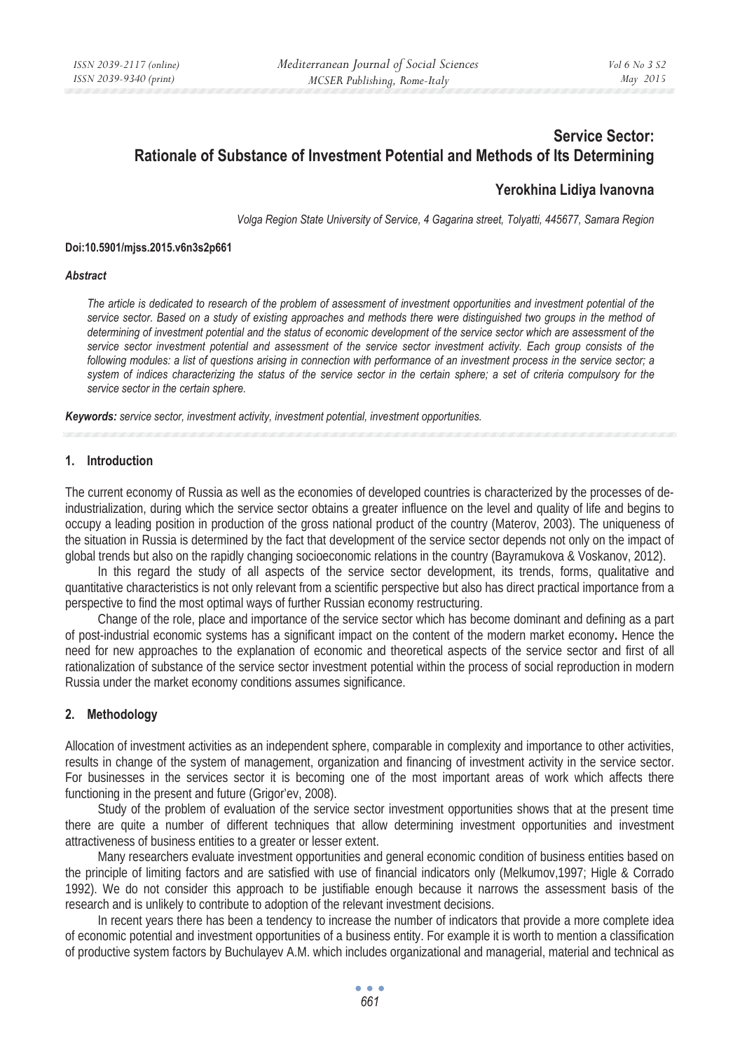# **Service Sector: Rationale of Substance of Investment Potential and Methods of Its Determining**

## **Yerokhina Lidiya Ivanovna**

*Volga Region State University of Service, 4 Gagarina street, Tolyatti, 445677, Samara Region* 

#### **Doi:10.5901/mjss.2015.v6n3s2p661**

#### *Abstract*

*The article is dedicated to research of the problem of assessment of investment opportunities and investment potential of the service sector. Based on a study of existing approaches and methods there were distinguished two groups in the method of determining of investment potential and the status of economic development of the service sector which are assessment of the service sector investment potential and assessment of the service sector investment activity. Each group consists of the following modules: a list of questions arising in connection with performance of an investment process in the service sector; a system of indices characterizing the status of the service sector in the certain sphere; a set of criteria compulsory for the service sector in the certain sphere.* 

*Keywords: service sector, investment activity, investment potential, investment opportunities.* 

#### **1. Introduction**

The current economy of Russia as well as the economies of developed countries is characterized by the processes of deindustrialization, during which the service sector obtains a greater influence on the level and quality of life and begins to occupy a leading position in production of the gross national product of the country (Materov, 2003). The uniqueness of the situation in Russia is determined by the fact that development of the service sector depends not only on the impact of global trends but also on the rapidly changing socioeconomic relations in the country (Bayramukova & Voskanov, 2012).

In this regard the study of all aspects of the service sector development, its trends, forms, qualitative and quantitative characteristics is not only relevant from a scientific perspective but also has direct practical importance from a perspective to find the most optimal ways of further Russian economy restructuring.

Change of the role, place and importance of the service sector which has become dominant and defining as a part of post-industrial economic systems has a significant impact on the content of the modern market economy**.** Hence the need for new approaches to the explanation of economic and theoretical aspects of the service sector and first of all rationalization of substance of the service sector investment potential within the process of social reproduction in modern Russia under the market economy conditions assumes significance.

### **2. Methodology**

Allocation of investment activities as an independent sphere, comparable in complexity and importance to other activities, results in change of the system of management, organization and financing of investment activity in the service sector. For businesses in the services sector it is becoming one of the most important areas of work which affects there functioning in the present and future (Grigor'ev, 2008).

Study of the problem of evaluation of the service sector investment opportunities shows that at the present time there are quite a number of different techniques that allow determining investment opportunities and investment attractiveness of business entities to a greater or lesser extent.

Many researchers evaluate investment opportunities and general economic condition of business entities based on the principle of limiting factors and are satisfied with use of financial indicators only (Melkumov,1997; Higle & Corrado 1992). We do not consider this approach to be justifiable enough because it narrows the assessment basis of the research and is unlikely to contribute to adoption of the relevant investment decisions.

In recent years there has been a tendency to increase the number of indicators that provide a more complete idea of economic potential and investment opportunities of a business entity. For example it is worth to mention a classification of productive system factors by Buchulayev A.M. which includes organizational and managerial, material and technical as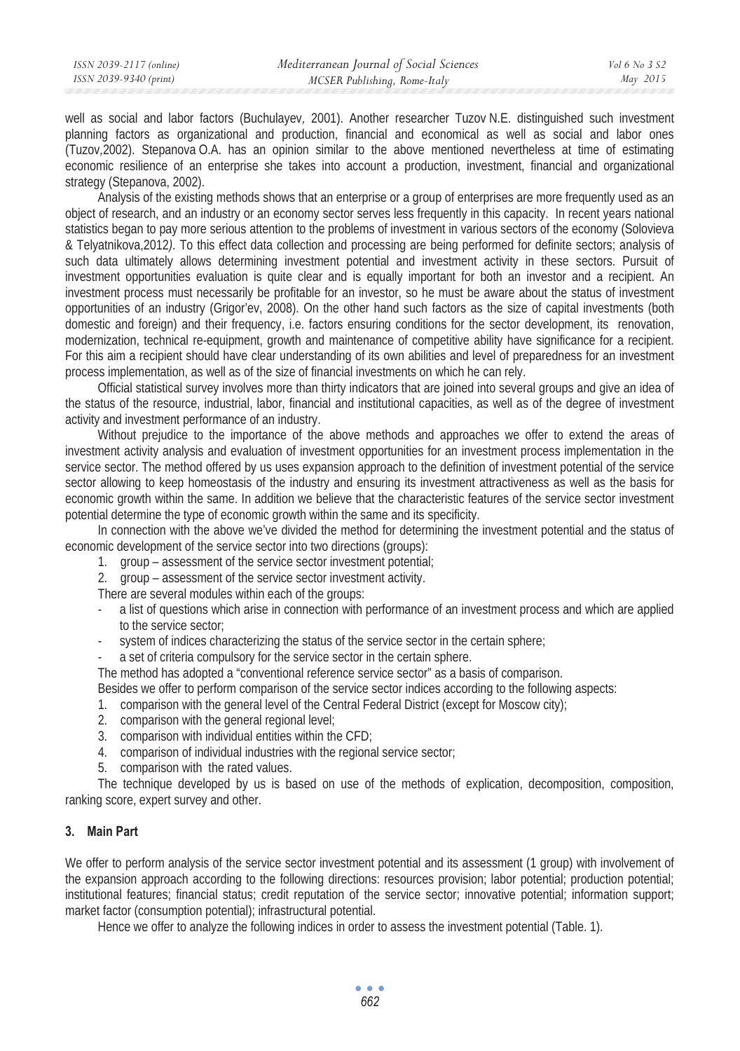well as social and labor factors (Buchulayev*,* 2001). Another researcher Tuzov N.E. distinguished such investment planning factors as organizational and production, financial and economical as well as social and labor ones (Tuzov*,*2002). Stepanova O.A. has an opinion similar to the above mentioned nevertheless at time of estimating economic resilience of an enterprise she takes into account a production, investment, financial and organizational strategy (Stepanova, 2002).

Analysis of the existing methods shows that an enterprise or a group of enterprises are more frequently used as an object of research, and an industry or an economy sector serves less frequently in this capacity. In recent years national statistics began to pay more serious attention to the problems of investment in various sectors of the economy (Solovieva & Telyatnikova,2012*)*. To this effect data collection and processing are being performed for definite sectors; analysis of such data ultimately allows determining investment potential and investment activity in these sectors. Pursuit of investment opportunities evaluation is quite clear and is equally important for both an investor and a recipient. An investment process must necessarily be profitable for an investor, so he must be aware about the status of investment opportunities of an industry (Grigor'ev, 2008). On the other hand such factors as the size of capital investments (both domestic and foreign) and their frequency, i.e. factors ensuring conditions for the sector development, its renovation, modernization, technical re-equipment, growth and maintenance of competitive ability have significance for a recipient. For this aim a recipient should have clear understanding of its own abilities and level of preparedness for an investment process implementation, as well as of the size of financial investments on which he can rely.

Official statistical survey involves more than thirty indicators that are joined into several groups and give an idea of the status of the resource, industrial, labor, financial and institutional capacities, as well as of the degree of investment activity and investment performance of an industry.

Without prejudice to the importance of the above methods and approaches we offer to extend the areas of investment activity analysis and evaluation of investment opportunities for an investment process implementation in the service sector. The method offered by us uses expansion approach to the definition of investment potential of the service sector allowing to keep homeostasis of the industry and ensuring its investment attractiveness as well as the basis for economic growth within the same. In addition we believe that the characteristic features of the service sector investment potential determine the type of economic growth within the same and its specificity.

In connection with the above we've divided the method for determining the investment potential and the status of economic development of the service sector into two directions (groups):

- 1. group assessment of the service sector investment potential;
- 2. group assessment of the service sector investment activity.

There are several modules within each of the groups:

- a list of questions which arise in connection with performance of an investment process and which are applied to the service sector;
- system of indices characterizing the status of the service sector in the certain sphere;
- a set of criteria compulsory for the service sector in the certain sphere.
- The method has adopted a "conventional reference service sector" as a basis of comparison.
- Besides we offer to perform comparison of the service sector indices according to the following aspects:
- 1. comparison with the general level of the Central Federal District (except for Moscow city);
- 2. comparison with the general regional level;
- 3. comparison with individual entities within the CFD;
- 4. comparison of individual industries with the regional service sector;
- 5. comparison with the rated values.

The technique developed by us is based on use of the methods of explication, decomposition, composition, ranking score, expert survey and other.

### **3. Main Part**

We offer to perform analysis of the service sector investment potential and its assessment (1 group) with involvement of the expansion approach according to the following directions: resources provision; labor potential; production potential; institutional features; financial status; credit reputation of the service sector; innovative potential; information support; market factor (consumption potential); infrastructural potential.

Hence we offer to analyze the following indices in order to assess the investment potential (Table. 1).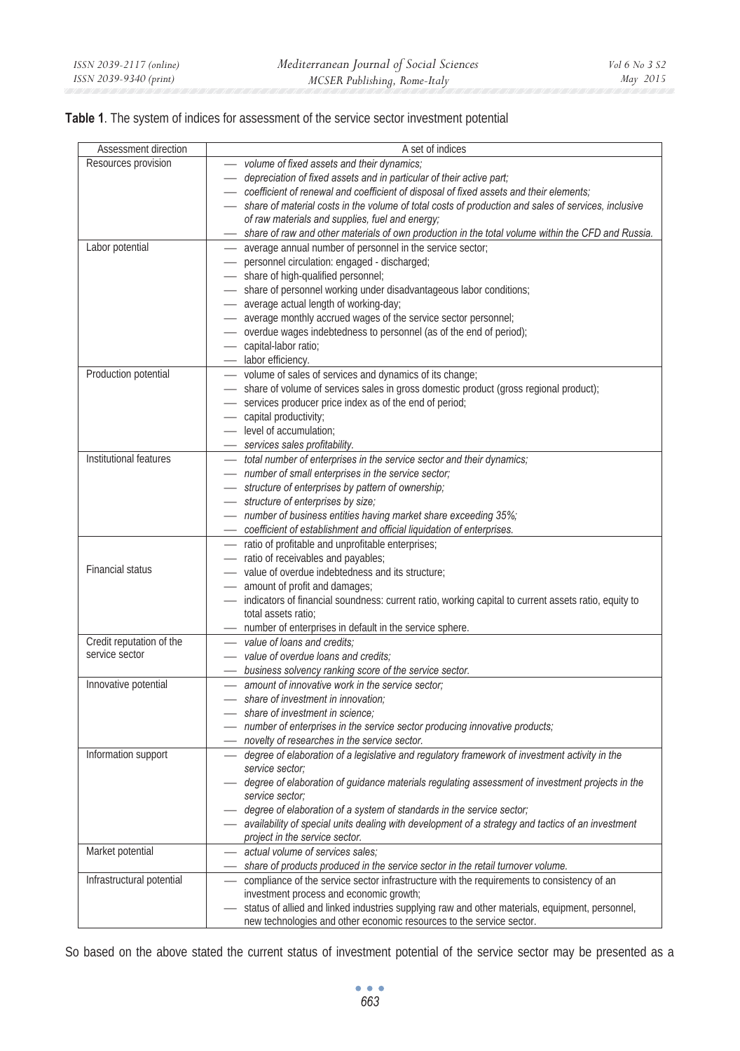## **Table 1**. The system of indices for assessment of the service sector investment potential

| Assessment direction      | A set of indices                                                                                       |
|---------------------------|--------------------------------------------------------------------------------------------------------|
| Resources provision       | - volume of fixed assets and their dynamics;                                                           |
|                           | - depreciation of fixed assets and in particular of their active part;                                 |
|                           | - coefficient of renewal and coefficient of disposal of fixed assets and their elements;               |
|                           | - share of material costs in the volume of total costs of production and sales of services, inclusive  |
|                           | of raw materials and supplies, fuel and energy;                                                        |
|                           | - share of raw and other materials of own production in the total volume within the CFD and Russia.    |
| Labor potential           | - average annual number of personnel in the service sector;                                            |
|                           | - personnel circulation: engaged - discharged;                                                         |
|                           | - share of high-qualified personnel;                                                                   |
|                           | - share of personnel working under disadvantageous labor conditions;                                   |
|                           | - average actual length of working-day;                                                                |
|                           | - average monthly accrued wages of the service sector personnel;                                       |
|                           | - overdue wages indebtedness to personnel (as of the end of period);                                   |
|                           | - capital-labor ratio;                                                                                 |
|                           | - labor efficiency.                                                                                    |
| Production potential      | - volume of sales of services and dynamics of its change;                                              |
|                           | - share of volume of services sales in gross domestic product (gross regional product);                |
|                           | - services producer price index as of the end of period;                                               |
|                           | - capital productivity;                                                                                |
|                           | - level of accumulation;                                                                               |
|                           | - services sales profitability.                                                                        |
| Institutional features    | - total number of enterprises in the service sector and their dynamics;                                |
|                           | - number of small enterprises in the service sector:                                                   |
|                           | - structure of enterprises by pattern of ownership;                                                    |
|                           | - structure of enterprises by size;                                                                    |
|                           | - number of business entities having market share exceeding 35%;                                       |
|                           | - coefficient of establishment and official liquidation of enterprises.                                |
|                           | - ratio of profitable and unprofitable enterprises;                                                    |
|                           | - ratio of receivables and payables;                                                                   |
| <b>Financial status</b>   | - value of overdue indebtedness and its structure;                                                     |
|                           | - amount of profit and damages;                                                                        |
|                           | - indicators of financial soundness: current ratio, working capital to current assets ratio, equity to |
|                           | total assets ratio;                                                                                    |
|                           | - number of enterprises in default in the service sphere.                                              |
| Credit reputation of the  | - value of loans and credits:                                                                          |
| service sector            | - value of overdue loans and credits:                                                                  |
|                           | - business solvency ranking score of the service sector.                                               |
| Innovative potential      | - amount of innovative work in the service sector;                                                     |
|                           | - share of investment in innovation:                                                                   |
|                           | - share of investment in science:                                                                      |
|                           | - number of enterprises in the service sector producing innovative products;                           |
|                           | - novelty of researches in the service sector.                                                         |
| Information support       | - degree of elaboration of a legislative and regulatory framework of investment activity in the        |
|                           | service sector;                                                                                        |
|                           | degree of elaboration of guidance materials regulating assessment of investment projects in the        |
|                           | service sector:                                                                                        |
|                           | - degree of elaboration of a system of standards in the service sector;                                |
|                           | - availability of special units dealing with development of a strategy and tactics of an investment    |
|                           | project in the service sector.                                                                         |
| Market potential          | - actual volume of services sales:                                                                     |
|                           | share of products produced in the service sector in the retail turnover volume.                        |
| Infrastructural potential | - compliance of the service sector infrastructure with the requirements to consistency of an           |
|                           | investment process and economic growth;                                                                |
|                           | - status of allied and linked industries supplying raw and other materials, equipment, personnel,      |
|                           | new technologies and other economic resources to the service sector.                                   |

So based on the above stated the current status of investment potential of the service sector may be presented as a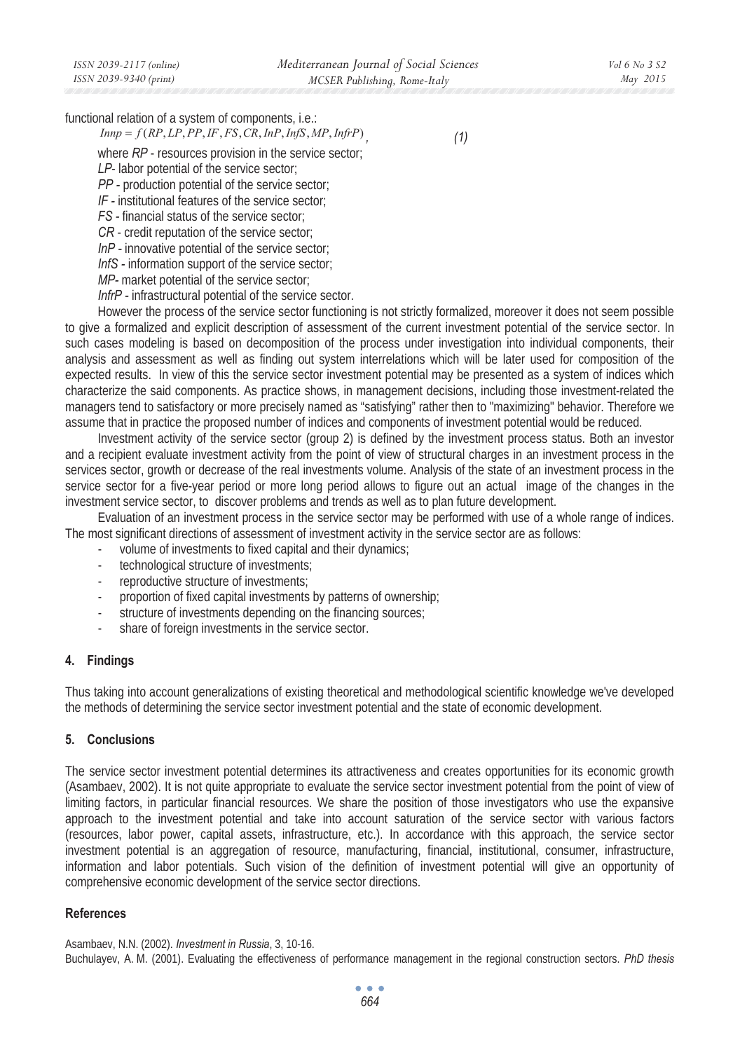*, (1)* 

functional relation of a system of components, i.e.: *Innp* = *f* (*RP*, *LP*, *PP*,*IF*, *FS*,*CR*, *InP*, *InfS*, *MP*,*InfrP*)

where  $RP$  - resources provision in the service sector;

*LP*- labor potential of the service sector;

*PP -* production potential of the service sector;

*IF -* institutional features of the service sector;

*FS -* financial status of the service sector;

*CR* - credit reputation of the service sector;

*InP* - innovative potential of the service sector:

*InfS -* information support of the service sector;

*MP-* market potential of the service sector;

*InfrP -* infrastructural potential of the service sector.

However the process of the service sector functioning is not strictly formalized, moreover it does not seem possible to give a formalized and explicit description of assessment of the current investment potential of the service sector. In such cases modeling is based on decomposition of the process under investigation into individual components, their analysis and assessment as well as finding out system interrelations which will be later used for composition of the expected results. In view of this the service sector investment potential may be presented as a system of indices which characterize the said components. As practice shows, in management decisions, including those investment-related the managers tend to satisfactory or more precisely named as "satisfying" rather then to "maximizing" behavior. Therefore we assume that in practice the proposed number of indices and components of investment potential would be reduced.

Investment activity of the service sector (group 2) is defined by the investment process status. Both an investor and a recipient evaluate investment activity from the point of view of structural charges in an investment process in the services sector, growth or decrease of the real investments volume. Analysis of the state of an investment process in the service sector for a five-year period or more long period allows to figure out an actual image of the changes in the investment service sector, to discover problems and trends as well as to plan future development.

Evaluation of an investment process in the service sector may be performed with use of a whole range of indices. The most significant directions of assessment of investment activity in the service sector are as follows:

- volume of investments to fixed capital and their dynamics;
- technological structure of investments;
- reproductive structure of investments;
- proportion of fixed capital investments by patterns of ownership;
- structure of investments depending on the financing sources;
- share of foreign investments in the service sector.

### **4. Findings**

Thus taking into account generalizations of existing theoretical and methodological scientific knowledge we've developed the methods of determining the service sector investment potential and the state of economic development.

### **5. Conclusions**

The service sector investment potential determines its attractiveness and creates opportunities for its economic growth (Asambaev, 2002). It is not quite appropriate to evaluate the service sector investment potential from the point of view of limiting factors, in particular financial resources. We share the position of those investigators who use the expansive approach to the investment potential and take into account saturation of the service sector with various factors (resources, labor power, capital assets, infrastructure, etc.). In accordance with this approach, the service sector investment potential is an aggregation of resource, manufacturing, financial, institutional, consumer, infrastructure, information and labor potentials. Such vision of the definition of investment potential will give an opportunity of comprehensive economic development of the service sector directions.

### **References**

Asambaev, N.N. (2002). *Investment in Russia*, 3, 10-16.

Buchulayev, Ⱥ. Ɇ. (2001). Evaluating the effectiveness of performance management in the regional construction sectors. *PhD thesis*